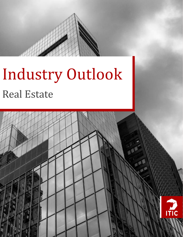

# Industry Outlook Real Estate

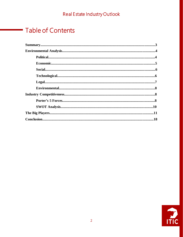# **Table of Contents**

÷,

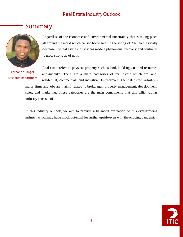# Summary



Fernando Rangel Research Department

Regardless of the economic and environmental uncertainty that is taking place all around the world which caused home sales in the spring of 2020 to drastically decrease, the real estate industry has made a phenomenal recovery and continues to grow strong as of now.

Real estate refers to physical property such as land, buildings, natural resources and-suchlike. There are 4 main categories of real estate which are land, residential, commercial, and industrial. Furthermore, the real estate industry's major firms and jobs are mainly related to brokerages, property management, development, sales, and marketing. These categories are the main components that this billion-dollar

industry consists of.

In this industry outlook, we aim to provide a balanced evaluation of this ever-growing industry which may have much potential for further upside even with the ongoing pandemic.

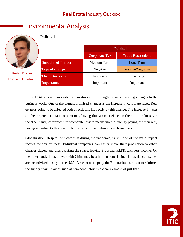# Environmental Analysis



Ruslan Pushkar Research Department

### **Political**

|                           | <b>Political</b>     |                           |
|---------------------------|----------------------|---------------------------|
|                           | <b>Corporate Tax</b> | <b>Trade Restrictions</b> |
| <b>Duration of Impact</b> | Medium Term          | Long Term                 |
| <b>Type of change</b>     | Negative             | Positive/Negative         |
| The factor's rate         | Increasing           | Increasing                |
| <b>Importance</b>         | Important            | Important                 |

In the USA a new democratic administration has brought some interesting changes to the business world. One of the biggest promised changes is the increase in corporate taxes. Real estate is going to be affected both directly and indirectly by this change. The increase in taxes can be targeted at REIT corporations, having thus a direct effect on their bottom lines. On the other hand, lower profit for corporate lessors means more difficulty paying off their rent, having an indirect effect on the bottom-line of capital-intensive businesses.

Globalization, despite the slowdown during the pandemic, is still one of the main impact factors for any business. Industrial companies can easily move their production to other, cheaper places, and thus vacating the space, leaving industrial REITs with less income. On the other hand, the trade war with China may be a hidden benefit since industrial companies are incentivized to stay in the USA. A recent attempt by the Biden administration to reinforce the supply chain in areas such as semiconductors is a clear example of just that.

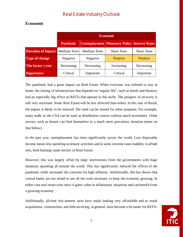#### **Economic**

|                                       | <b>Economic</b> |             |                                                 |                   |
|---------------------------------------|-----------------|-------------|-------------------------------------------------|-------------------|
|                                       | <b>Pandemic</b> |             | Unemployment   Monetary Policy   Interest Rates |                   |
| <b>Duration of Impact</b> Medium Term |                 | Medium Term | <b>Short Term</b>                               | <b>Short Term</b> |
| <b>Type of change</b>                 | Negative        | Negative    | Positive                                        | Positive          |
| The factor's rate                     | Decreasing      | Decreasing  | Increasing                                      | Decreasing        |
| Importance                            | Critical        | Important   | Critical                                        | Important         |

The pandemic had a great impact on Real Estate. When everyone was ordered to stay at home, the closing of infrastructure that depends on "regular life", such as hotels and theaters, had an especially big effect on REITs that operate in this niche. The prospect of recovery is still very uncertain. Some Real Estate will be less affected than others. In the case of Retail, the impact is likely to be reduced. The land can be reused for other purposes. For example, many malls in the USA can be used as distribution centers without much investment. Other sectors, such as leisure can find themselves in a much more precarious situation (more on that below).

In the past year, unemployment has risen significantly across the world. Less disposable income means less spending on leisure activities and in some extreme cases inability to afford rent, both harming some sectors of Real Estate.

However, this was largely offset by large intervention from the governments with huge monetary spending all around the world. This has significantly reduced the effects of the pandemic while increased the concerns for high inflation. Additionally, this has shown that central banks are not afraid to use all the tools necessary to keep the economy growing. In either case real estate wins since it gains value in inflationary situations and can benefit from a growing economy.

Additionally, all-time low-interest rates have made landing very affordable and as result acquisitions, construction, and debt servicing, in general, have become a lot easier for REITs.

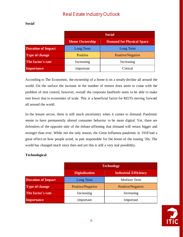**Social**

|                           | <b>Social</b>         |                                  |
|---------------------------|-----------------------|----------------------------------|
|                           | <b>Home Ownership</b> | <b>Demand for Physical Space</b> |
| <b>Duration of Impact</b> | Long Term             | Long Term                        |
| <b>Type of change</b>     | Positive              | Positive/Negative                |
| The factor's rate         | Increasing            | Increasing                       |
| Importance                | Important             | Critical                         |

According to The Economist, the ownership of a home is on a steady decline all around the world. On the surface the increase in the number of renters does seem to come with the problem of rent control, however, overall the corporate landlords seem to be able to make rent lower due to economies of scale. This is a beneficial factor for REITs moving forward all around the world.

In the leisure sector, there is still much uncertainty when it comes to demand. Pandemic seems to have permanently altered consumer behavior to be more digital. Yet, there are defenders of the opposite side of the debate affirming that demand will return bigger and stronger than ever. While not the only reason, the Great Influenza pandemic in 1918 had a great effect on how people acted, in part responsible for the boom of the roaring '20s. The world has changed much since then and yet this is still a very real possibility.

#### **Technological**

|                           | <b>Technology</b>     |                              |  |
|---------------------------|-----------------------|------------------------------|--|
|                           | <b>Digitalization</b> | <b>Industrial Efficiency</b> |  |
| <b>Duration of Impact</b> | Long Term             | Medium Term                  |  |
| Type of change            | Positive/Negative     | Positive/Negative            |  |
| The factor's rate         | Increasing            | Increasing                   |  |
| <b>Importance</b>         | Important             | Important                    |  |

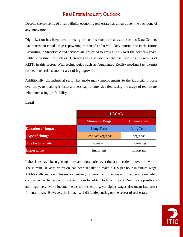Despite the concerns of a fully digital economy, real estate has always been the backbone of any innovation.

Digitalization has been a real blessing for some sectors of real estate such as Data Centers. An increase in cloud usage is powering this trend and it will likely continue so in the future. According to Statistica cloud services are projected to grow at 17% over the next few years. Public infrastructure such as 5G towers has also been on the rise, boosting the returns of REITs in this sector. With technologies such as Augmented Reality needing fast internet connections, this is another area of high growth.

Additionally, the industrial sector has made many improvements to the industrial process over the years making it faster and less capital intensive decreasing the usage of real estate, while increasing profitability.

| × |
|---|
|---|

|                           | <b>LEGAL</b>             |                     |
|---------------------------|--------------------------|---------------------|
|                           | <b>Minimum Wage</b>      | <b>Unionization</b> |
| <b>Duration of Impact</b> | Long Term                | Long Term           |
| <b>Type of change</b>     | Positive/Negative        | negative            |
| The factor's rate         | Increasing<br>Increasing |                     |
| Importance                | Important                | Important           |

Labor laws have been getting more and more strict over the last decades all over the world. The current US administration has been in talks to make a 15\$ per hour minimum wage. Additionally, more employees are pushing for unionization, increasing the pressure on public companies for better conditions and more benefits. Both can impact Real Estate positively and negatively. More income means more spending, yet higher wages also mean less profit for enterprises. However, the impact will differ depending on the sector of real estate.

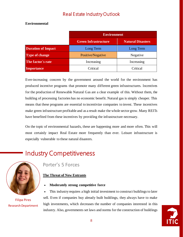#### **Environmental**

|                           | <b>Environment</b>            |                          |
|---------------------------|-------------------------------|--------------------------|
|                           | <b>Green Infrastructure</b>   | <b>Natural Disasters</b> |
| <b>Duration of Impact</b> | Long Term                     | Long Term                |
| <b>Type of change</b>     | Positive/Negative<br>Negative |                          |
| The factor's rate         | Increasing                    | Increasing               |
| <b>Importance</b>         | Critical                      | Critical                 |

Ever-increasing concern by the government around the world for the environment has produced incentive programs that promote many different green infrastructures. Incentives for the production of Renewable Natural Gas are a clear example of this. Without them, the building of processing factories has no economic benefit. Natural gas is simply cheaper. This means that these programs are essential to incentivize companies to invest. These incentives make green infrastructure profitable and as a result make the whole sector grow. Many REITs have benefited from these incentives by providing the infrastructure necessary.

On the topic of environmental hazards, these are happening more and more often. This will most certainly impact Real Estate more frequently than ever. Leisure infrastructure is especially vulnerable to these natural disasters.

# Industry Competitiveness



Filipa Pires Research Department

### Porter's 5 Forces

#### **The Threat of New Entrants**

• **Moderately strong competitive force**

• This industry requires a high initial investment to construct buildings to later sell. Even if companies buy already built buildings, they always have to make high investments, which decreases the number of companies interested in this industry. Also, governments set laws and norms for the construction of buildings

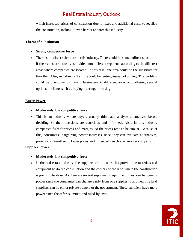which increases prices of construction due to taxes and additional costs to legalize the construction, making it even harder to enter this industry.

#### **Threat of Substitution**

#### • **Strong competitive force**

• There is no direct substitute in this industry. There could be some indirect substitutes if the real estate industry is divided into different segments according to the different areas where companies are located. In this case, one area could be the substitute for the other. Also, an indirect substitute could be renting instead of buying. This problem could be overcome by having businesses in different areas and offering several options to clients such as buying, renting, or leasing.

#### **Buyer Power**

- **Moderately low competitive force**
- This is an industry where buyers usually think and analyze alternatives before deciding, so their decisions are conscious and informed. Also, in this industry companies fight for prices and margins, so the prices tend to be similar. Because of this, consumers' bargaining power increases since they can evaluate alternatives, present counteroffers to lower prices and if needed can choose another company.

#### **Supplier Power**

- **Moderately low competitive force**
- In the real estate industry, the suppliers are the ones that provide the materials and equipment to do the construction and the owners of the land where the construction is going to be done. As there are several suppliers of equipment, they lose bargaining power since the companies can change easily from one supplier to another. The land suppliers can be either private owners or the government. These suppliers have more power since the offer is limited and ruled by laws.

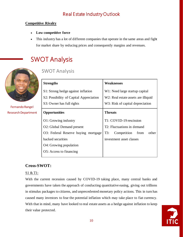#### **Competitive Rivalry**

- **Low competitive force**
- This industry has a lot of different companies that operate in the same areas and fight for market share by reducing prices and consequently margins and revenues.

# SWOT Analysis



Fernando Rangel Research Department

### SWOT Analysis

| <b>Strengths</b>                        | <b>Weaknesses</b>                   |  |
|-----------------------------------------|-------------------------------------|--|
| S1: Strong hedge against inflation      | W1: Need large startup capital      |  |
| S2: Possibility of Capital Appreciation | W2: Real estate assets are illiquid |  |
| S3: Owner has full rights               | W3: Risk of capital depreciation    |  |
| <b>Opportunities</b>                    | <b>Threats</b>                      |  |
| O1: Growing industry                    | T1: COVID-19 rescission             |  |
| O2: Global Demand present               | T2: Fluctuations in demand          |  |
| O3: Federal Reserve buying mortgage     | Competition<br>T3:<br>from<br>other |  |
| backed securities                       | investment asset classes            |  |
| O4: Growing population                  |                                     |  |
| O5: Access to financing                 |                                     |  |
|                                         |                                     |  |

### **Cross-SWOT:**

#### S1 & T1:

With the current recession caused by COVID-19 taking place, many central banks and governments have taken the approach of conducting quantitative easing, giving out trillions in stimulus packages to citizens, and unprecedented monetary policy actions. This in turn has caused many investors to fear the potential inflation which may take place to fiat currency. With that in mind, many have looked to real estate assets as a hedge against inflation to keep their value protected.

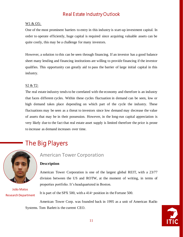#### W1 & O5:

One of the most prominent barriers to entry in this industry is start-up investment capital. In order to operate efficiently, huge capital is required since acquiring valuable assets can be quite costly, this may be a challenge for many investors.

However, a solution to this can be seen through financing. If an investor has a good balance sheet many lending and financing institutions are willing to provide financing if the investor qualifies. This opportunity can greatly aid to pass the barrier of large initial capital in this industry.

#### S2 & T2:

The real estate industry tends to be correlated with the economy and therefore is an industry that faces different cycles. Within these cycles fluctuation in demand can be seen, low or high demand takes place depending on which part of the cycle the industry. These fluctuations may be seen as a threat to investors since low demand may decrease the value of assets that may be in their possession. However, in the long-run capital appreciation is very likely due to the fact that real estate asset supply is limited therefore the price is prone to increase as demand increases over time.

## The Big Players



João Matos Research Department

#### American Tower Corporation

#### **Description**

American Tower Corporation is one of the largest global REIT, with a 23/77 division between the US and ROTW, at the moment of writing, in terms of properties portfolio. It's headquartered in Boston.

It is part of the SPX 500, with a  $414^{\circ}$  position in the Fortune 500.

American Tower Corp. was founded back in 1995 as a unit of American Radio Systems. Tom Barlett is the current CEO.

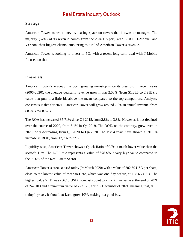#### **Strategy**

American Tower makes money by leasing space on towers that it owns or manages. The majority (57%) of its revenue comes from the 23% US part, with AT&T, T-Mobile, and Verizon, their biggest clients, amounting to 51% of American Tower's revenue.

American Tower is looking to invest in 5G, with a recent long-term deal with T-Mobile focused on that.

#### **Financials**

American Tower's revenue has been growing non-stop since its creation. In recent years (2006-2020), the average quarterly revenue growth was 2.53% (from \$1.28B to 2.21B), a value that puts it a little bit above the mean compared to the top competitors. Analysts' consensus is that for 2021, American Tower will grow around 7.8% in annual revenue, from \$8.04B to \$8.87B.

The ROA has increased 35.71% since Q4 2015, from 2.8% to 3.8%. However, it has declined over the course of 2020, from 5.1% in Q4 2019. The ROE, on the contrary, grew even in 2020, only decreasing from Q3 2020 to Q4 2020. The last 4 years have shown a 191.3% increase in ROE, from 12,7% to 37%.

Liquidity-wise, American Tower shows a Quick Ratio of 0.7x, a much lower value than the sector's 1.2x. The D/E Ratio represents a value of 896.8%, a very high value compared to the 99.6% of the Real Estate Sector.

American Tower's stock closed today ( $9^{\text{th}}$  March 2020) with a value of 202.69 USD per share, close to the lowest value of Year-to-Date, which was one day before, at 198.66 USD. The highest value YTD was 236.15 USD. Forecasts point to a maximum value at the end of 2021 of 247.103 and a minimum value of 223.126, for  $31$ <sup>\*</sup> December of 2021, meaning that, at

today's prices, it should, at least, grow 10%, making it a good buy.

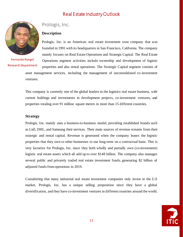

Fernando Rangel Research Department

### Prologis, Inc.

#### **Description**

Prologis, Inc. is an American real estate investment trust company that was founded in 1991 with its headquarters in San Francisco, California. The company mainly focuses on Real Estate Operations and Strategic Capital. The Real Estate Operations segment activities include ownership and development of logistic properties and also rental operations. The Strategic Capital segment consists of

asset management services, including the management of unconsolidated co-investment ventures.

This company is currently one of the global leaders in the logistics real estate business, with current holdings and investments in development projects, co-investment ventures, and properties totaling over 91 million square meters in more than 15 different countries.

#### **Strategy**

Prologis, Inc. mainly uses a business-to-business model, providing established brands such as Lidl, DHL, and Samsung their services. Their main sources of revenue streams from their strategic and rental capital. Revenue is generated when the company leases the logistic properties that they own to other businesses to use long-term on a contractual basis. This is very lucrative for Prologis, Inc. since they both wholly and partially own (co-investment) logistic real estate assets which all add up to over \$148 billion. The company also manages several public and privately traded real estate investment funds, generating \$2 billion of adjusted funds from operations in 2019.

Considering that many industrial real estate investment companies only invest in the U.S market, Prologis, Inc. has a unique selling proposition since they have a global diversification, and they have co-investment ventures in different countries around the world.

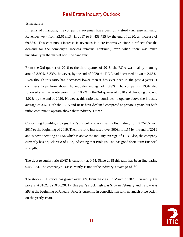#### **Financials**

In terms of financials, the company's revenues have been on a steady increase annually. Revenues went from \$2,618,134 in 2017 to \$4,438,735 by the end of 2020, an increase of 69.53%. This continuous increase in revenues is quite impressive since it reflects that the demand for the company's services remains continual, even when there was much uncertainty in the market with the pandemic.

From the 3rd quarter of 2016 to the third quarter of 2018, the ROA was mainly roaming around 3.90%-6.33%, however, by the end of 2020 the ROA had decreased down to 2.65%. Even though this ratio has decreased lower than it has ever been in the past 4 years, it continues to perform above the industry average of 1.87%. The company's ROE also followed a similar route, going from 10.2% in the 3rd quarter of 2018 and dropping down to 4.02% by the end of 2020. However, this ratio also continues to operate above the industry average of 3.62. Both the ROA and ROE have declined compared to previous years but both ratios continue to operate above their industry's mean.

Concerning liquidity, Prologis, Inc.'s current ratio was mainly fluctuating from 0.32-0.5 from 2017 to the beginning of 2019. Then the ratio increased over 300% to 1.55 by the end of 2019 and is now operating at 1.54 which is above the industry average of 1.13. Also, the company currently has a quick ratio of 1.52, indicating that Prologis, Inc. has good short-term financial strength.

The debt to equity ratio (D/E) is currently at 0.54. Since 2018 this ratio has been fluctuating 0.43-0.54. The company's D/E currently is under the industry's average of .80.

The stock (PLD) price has grown over 60% from the crash in March of 2020. Currently, the price is at \$102.18 (18/03/2021), this year's stock high was \$109 in February and its low was \$93 at the beginning of January. Price is currently in consolidation with not much price action on the yearly chart.

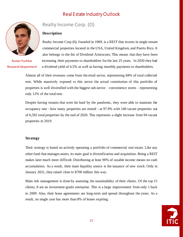

Ruslan Pushkar Research Department

### Realty Income Corp. (O)

#### **Description**

Realty Income Corp (0), founded in 1969, is a REIT that invests in single-tenant commercial properties located in the USA, United Kingdom, and Puerto Rico. It also belongs to the list of Dividend Aristocrats. This means that they have been increasing their payments to shareholders for the last 25 years. In 2020 they had a dividend yield of 4.5% as well as having monthly payments to shareholders.

Almost all of their revenues come from the retail sector, representing 84% of total collected rent. While massively exposed to this sector the actual constitution of this portfolio of properties is well diversified with the biggest sub-sector – convenience stores – representing only 12% of the total rent.

Despite having tenants that were hit hard by the pandemic, they were able to maintain the occupancy rate - how many properties are rented - at 97.9% with 140 vacant properties out of 6,592 total properties by the end of 2020. This represents a slight increase from 94 vacant properties in 2019.

#### **Strategy**

Their strategy is based on actively operating a portfolio of commercial real estate. Like any other fund that manages assets, its main goal is diversification and acquisition. Being a REIT makes later much more difficult. Distributing at least 90% of taxable income means no cash accumulation. As a result, their main liquidity source is the issuance of new stock. Only in January 2021, they raised close to \$700 million this way.

Main risk management is done by assessing the sustainability of their clients. Of the top 15 clients, 8 are an investment-grade enterprise. This is a large improvement from only 1 back in 2009. Also, their lease agreements are long-term and spread throughout the years. As a result, no single year has more than 8% of leases expiring.

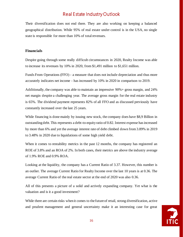Their diversification does not end there. They are also working on keeping a balanced geographical distribution. While 95% of real estate under control is in the USA, no single state is responsible for more than 10% of total revenues.

#### **Financials**

Despite going through some really difficult circumstances in 2020, Realty Income was able to increase its revenues by 10% in 2020, from \$1,491 million to \$1,651 million.

Funds From Operations (FFO) - a measure that does not include depreciation and thus more accurately indicates net income - has increased by 10% in 2020 in comparison to 2019.

Additionally, the company was able to maintain an impressive 90%+ gross margin, and 24% net margin despite a challenging year. The average gross margin for the real estate industry is 65%. The dividend payment represents 82% of all FFO and as discussed previously have constantly increased over the last 25 years.

While financing is done mainly by issuing new stock, the company does have \$8,9 Billion in outstanding debt. This represents a debt-to-equity ratio of 0.82. Interest expense has increased by more than 6% and yet the average interest rate of debt climbed down from 3.89% in 2019 to 3.48% in 2020 due to liquidations of some high yield debt.

When it comes to rentability metrics in the past 12 months, the company has registered an ROE of 3.8% and an ROA of 2%. In both cases, their metrics are above the industry average of 1.9% ROE and 0.9% ROA.

Looking at the liquidity, the company has a Current Ratio of 3.37. However, this number is an outlier. The average Current Ratio for Realty Income over the last 10 years is at 0.36. The average Current Ratio of the real estate sector at the end of 2020 was also 0.36.

All of this presents a picture of a solid and actively expanding company. Yet what is the valuation and is it a good investment?

While there are certain risks when it comes to the future of retail, strong diversification, active and prudent management and general uncertainty make it an interesting case for great

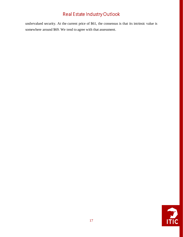undervalued security. At the current price of \$61, the consensus is that its intrinsic value is somewhere around \$69. We tend to agree with that assessment.

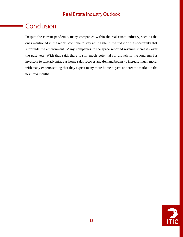# **Conclusion**

Despite the current pandemic, many companies within the real estate industry, such as the ones mentioned in the report, continue to stay antifragile in the midst of the uncertainty that surrounds the environment. Many companies in the space reported revenue increases over the past year. With that said, there is still much potential for growth in the long run for investors to take advantage as home sales recover and demand begins to increase much more, with many experts stating that they expect many more home buyers to enter the market in the next few months.